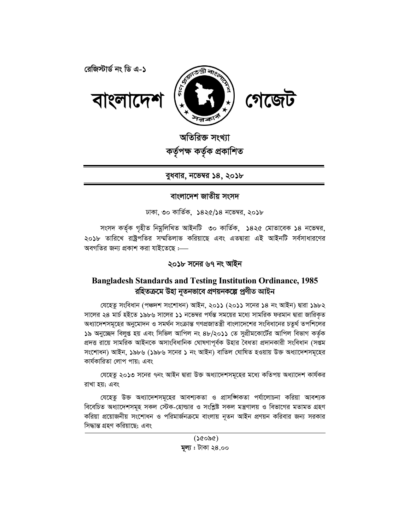

অতিরিক্ত সংখ্যা কৰ্তৃপক্ষ কৰ্তৃক প্ৰকাশিত

## বুধবার, নভেম্বর ১৪, ২০১৮

## বাংলাদেশ জাতীয় সংসদ

ঢাকা, ৩০ কার্তিক, ১৪২৫/১৪ নভেম্বর, ২০১৮

সংসদ কর্তৃক গৃহীত নিমুলিখিত আইনটি ৩০ কার্তিক, ১৪২৫ মোতাবেক ১৪ নভেম্বর, ২০১৮ তারিখে রাষ্ট্রপতির সম্মতিলাভ করিয়াছে এবং এতদ্বারা এই আইনটি সর্বসাধারণের অবগতির জন্য প্রকাশ করা যাইতেছে :—

## ২০১৮ সনের ৬৭ নং আইন

# **Bangladesh Standards and Testing Institution Ordinance, 1985** রহিতক্রমে উহা নৃতনভাবে প্রণয়নকল্পে প্রণীত আইন

যেহেতু সংবিধান (পঞ্চদশ সংশোধন) আইন, ২০১১ (২০১১ সনের ১৪ নং আইন) দ্বারা ১৯৮২ সালের ২৪ মার্চ হইতে ১৯৮৬ সালের ১১ নভেম্বর পর্যন্ত সময়ের মধ্যে সামরিক ফরমান দ্বারা জারিকৃত অধ্যাদেশসমূহের অনুমোদন ও সমর্থন সংক্রান্ত গণপ্রজাতন্ত্রী বাংলাদেশের সংবিধানের চতুর্থ তপশিলের ১৯ অনুচ্ছেদ বিলুপ্ত হয় এবং সিভিল আপিল নং ৪৮/২০১১ তে সুপ্রীমকোর্টের আপিল বিভাগ কর্তৃক প্রদত্ত রায়ে সামরিক আইনকে অসাংবিধানিক ঘোষণাপূর্বক উহার বৈধতা প্রদানকারী সংবিধান (সপ্তম সংশোধন) আইন, ১৯৮৬ (১৯৮৬ সনের ১ নং আইন) বাতিল ঘোষিত হওয়ায় উক্ত অধ্যাদেশসমূহের কাৰ্যকারিতা লোপ পায়; এবং

যেহেতু ২০১৩ সনের ৭নং আইন দ্বারা উক্ত অধ্যাদেশসমূহের মধ্যে কতিপয় অধ্যাদেশ কার্যকর রাখা হয়; এবং

যেহেতু উক্ত অধ্যাদেশসমূহের আবশ্যকতা ও প্রাসঙ্গিকতা পর্যালোচনা করিয়া আবশ্যক বিবেচিত অধ্যাদেশসমূহ সকল স্টেক-হোল্ডার ও সংশ্লিষ্ট সকল মন্ত্রণালয় ও বিভাগের মতামত গ্রহণ করিয়া প্রয়োজনীয় সংশোধন ও পরিমার্জনক্রমে বাংলায় নৃতন আইন প্রণয়ন করিবার জন্য সরকার সিদ্ধান্ত গ্ৰহণ করিয়াছে: এবং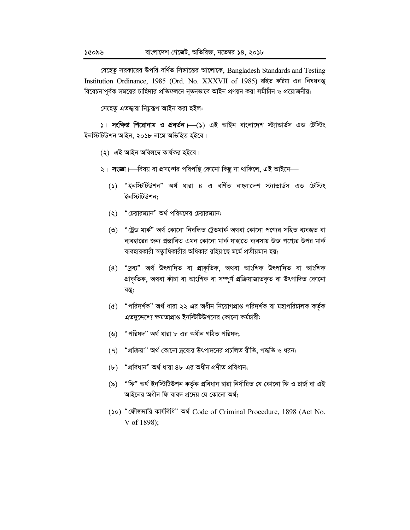যেহেতু সরকারের উপরি-বর্ণিত সিদ্ধান্তের আলোকে, Bangladesh Standards and Testing Institution Ordinance, 1985 (Ord. No. XXXVII of 1985) রহিত করিয়া এর বিষয়বস্তু বিবেচনাপূর্বক সময়ের চাহিদার প্রতিফলনে নূতনভাবে আইন প্রণয়ন করা সমীচীন ও প্রয়োজনীয়;

সেহেতু এতদ্বারা নিমুরূপ আইন করা হইল:—

 $\vert$  । সংক্ষিপ্ত শিরোনাম ও প্রবর্তন  $\vert \overline{\phantom{a}}(s) \vert$  এই আইন বাংলাদেশ স্ট্যান্ডার্ডস এন্ড টেস্টিং ইনস্টিটিউশন আইন. ২০১৮ নামে অভিহিত হইবে।

- (২) এই আইন অবিলম্বে কাৰ্যকর হইবে।
- ২। সংজ্ঞা ।—বিষয় বা প্রসঙ্গের পরিপত্থি কোনো কিছু না থাকিলে, এই আইনে—
	- (১) "ইনস্টিটিউশন" অর্থ ধারা ৪ এ বর্ণিত বাংলাদেশ স্ট্যান্ডার্ডস এন্ড টেস্টিং ইনস্টিটিউশন:
	- $\lambda$  (২) "চেয়ারম্যান" অর্থ পরিষদের চেয়ারম্যান;
	- (৩) "ট্রেড মার্ক" অর্থ কোনো নিবন্ধিত ট্রেডমার্ক অথবা কোনো পণ্যের সহিত ব্যবহৃত বা ব্যবহারের জন্য প্রস্তাবিত এমন কোনো মার্ক যাহাতে ব্যবসায় উক্ত পণ্যের উপর মার্ক ব্যবহারকারী স্বতাধিকারীর অধিকার রহিয়াছে মর্মে প্রতীয়মান হয়;
	- (8) "দ্ৰব্য" অৰ্থ উৎপাদিত বা প্ৰাকৃতিক, অথবা আংশিক উৎপাদিত বা আংশিক প্ৰাকৃতিক, অথবা কাঁচা বা আংশিক বা সম্পূৰ্ণ প্ৰক্ৰিয়াজাতকৃত বা উৎপাদিত কোনো বস্তু;
	- "পরিদর্শক" অর্থ ধারা ২২ এর অধীন নিয়োগপ্রাপ্ত পরিদর্শক বা মহাপরিচালক কর্তৃক  $\left( \mathbf{\Phi }\right)$ এতদুদ্দেশ্যে ক্ষমতাপ্রাপ্ত ইনস্টিটিউশনের কোনো কর্মচারী;
	- "পরিষদ" অর্থ ধারা ৮ এর অধীন গঠিত পরিষদ;  $(\mathcal{Y})$
	- (৭) "প্রক্রিয়া" অর্থ কোনো দ্রব্যের উৎপাদনের প্রচলিত রীতি, পদ্ধতি ও ধরন;
	- (b) "প্ৰবিধান" অৰ্থ ধারা ৪৮ এর অধীন প্রণীত প্রবিধান;
	- (৯) "ফি" অৰ্থ ইনস্টিটিউশন কৰ্তৃক প্ৰবিধান দ্বাৱা নিৰ্ধাৱিত যে কোনো ফি ও চাৰ্জ বা এই আইনের অধীন ফি বাবদ প্রদেয় যে কোনো অর্থ;
	- (১০) "ফৌজদারি কার্যবিধি" অর্থ Code of Criminal Procedure, 1898 (Act No. V of 1898);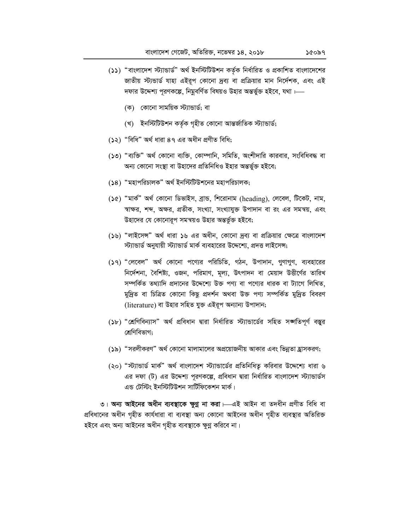- (১১) "বাংলাদেশ স্ট্যান্ডার্ড" অর্থ ইনস্টিটিউশন কর্তৃক নির্ধারিত ও প্রকাশিত বাংলাদেশের জাতীয় স্ট্যন্ডার্ড যাহা এইরূপ কোনো দ্রব্য বা প্রক্রিয়ার মান নির্দেশক, এবং এই দফার উদ্দেশ্য পূরণকল্পে, নিমুবর্ণিত বিষয়ও উহার অন্তর্ভুক্ত হইবে, যথা :---
	- (ক) কোনো সাময়িক স্ট্যান্ডাৰ্ড; বা
	- (খ) ইনস্টিটিউশন কৰ্তৃক গৃহীত কোনো আন্তৰ্জাতিক স্ট্যান্ডাৰ্ড;
- (১২) "বিধি" অৰ্থ ধাৱা ৪৭ এর অধীন প্রণীত বিধি;
- (১৩) "ব্যক্তি" অর্থ কোনো ব্যক্তি, কোম্পানি, সমিতি, অংশীদারি কারবার, সংবিধিবদ্ধ বা অন্য কোনো সংস্থা বা উহাদের প্রতিনিধিও ইহার অন্তর্ভুক্ত হইবে;
- (১৪) "মহাপরিচালক" অর্থ ইনস্টিটিউশনের মহাপরিচালক;
- (১৫) "মাৰ্ক" অৰ্থ কোনো ডিভাইস, ব্ৰান্ড, শিরোনাম (heading), লেবেল, টিকেট, নাম, স্বাক্ষর, শব্দ, অক্ষর, প্রতীক, সংখ্যা, সংখ্যাযুক্ত উপাদান বা রং এর সমন্বয়, এবং উহাদের যে কোনোরূপ সমন্বয়ও উহার অন্তর্ভুক্ত হইবে;
- (১৬) "লাইসেন্স" অর্থ ধারা ১৬ এর অধীন, কোনো দ্রব্য বা প্রক্রিয়ার ক্ষেত্রে বাংলাদেশ স্ট্যান্ডার্ড অনুযায়ী স্ট্যান্ডার্ড মার্ক ব্যবহারের উদ্দেশ্যে, প্রদত্ত লাইসেন্স;
- (১৭) "লেবেল" অর্থ কোনো পণ্যের পরিচিতি, গঠন, উপাদান, গুণাগুণ, ব্যবহারের নির্দেশনা, বৈশিষ্ট্য, ওজন, পরিমাণ, মূল্য, উৎপাদন বা মেয়াদ উত্তীর্ণের তারিখ সম্পর্কিত তথ্যাদি প্রদানের উদ্দেশ্যে উক্ত পণ্য বা পণ্যের ধারক বা ট্যাগে লিখিত, মুদ্রিত বা চিত্রিত কোনো কিছু প্রদর্শন অথবা উক্ত পণ্য সম্পর্কিত মুদ্রিত বিবরণ (literature) বা উহার সহিত যুক্ত এইরূপ অন্যান্য উপাদান;
- (১৮) "শ্ৰেণিবিন্যাস" অৰ্থ প্ৰবিধান দ্বাৱা নিৰ্ধাৱিত স্ট্যান্ডাৰ্ডেৱ সহিত সঙ্গতিপূৰ্ণ বস্তুৱ শ্ৰেণিবিভাগ:
- (১৯) "সরলীকরণ" অর্থ কোনো মালামালের অপ্রয়োজনীয় আকার এবং ভিন্নতা হ্রাসকরণ;
- (২০) "স্ট্যান্ডার্ড মার্ক" অর্থ বাংলাদেশ স্ট্যান্ডার্ডের প্রতিনিধিতু করিবার উদ্দেশ্যে ধারা ৬ এর দফা (ট) এর উদ্দেশ্য পূরণকল্পে, প্রবিধান দ্বারা নির্ধারিত বাংলাদেশ স্ট্যান্ডার্ডস এন্ড টেস্টিং ইনস্টিটিউশন সার্টিফিকেশন মার্ক।

৩। অন্য আইনের অধীন ব্যবস্থাকে ক্ষুণ্ণ না করা ।—এই আইন বা তদধীন প্রণীত বিধি বা প্রবিধানের অধীন গৃহীত কার্যধারা বা ব্যবস্থা অন্য কোনো আইনের অধীন গৃহীত ব্যবস্থার অতিরিক্ত হইবে এবং অন্য আইনের অধীন গৃহীত ব্যবস্থাকে ক্ষুণ্ণ করিবে না।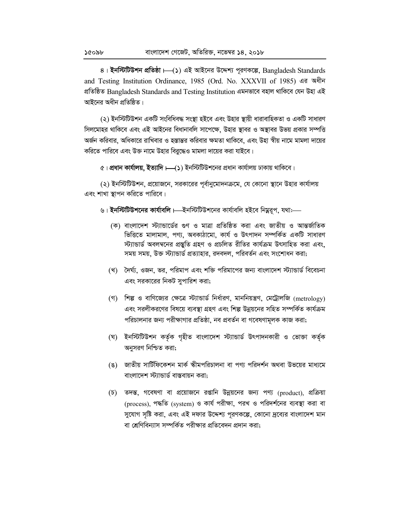8। ইনস্টিটিউশন প্রতিষ্ঠা।—(১) এই আইনের উদ্দেশ্য পূরণকল্পে, Bangladesh Standards and Testing Institution Ordinance, 1985 (Ord. No. XXXVII of 1985) এর অধীন প্রতিষ্ঠিত Bangladesh Standards and Testing Institution এমনভাবে বহাল থাকিবে যেন উহা এই আইনের অধীন প্রতিষ্ঠিত।

(২) ইনস্টিটিউশন একটি সংবিধিবদ্ধ সংস্থা হইবে এবং উহার স্থায়ী ধারাবাহিকতা ও একটি সাধারণ সিলমোহর থাকিবে এবং এই আইনের বিধানাবলি সাপেক্ষে, উহার স্থাবর ও অস্থাবর উভয় প্রকার সম্পত্তি অর্জন করিবার, অধিকারে রাখিবার ও হস্তান্তর করিবার ক্ষমতা থাকিবে, এবং উহা স্বীয় নামে মামলা দায়ের করিতে পারিবে এবং উক্ত নামে উহার বিরুদ্ধেও মামলা দায়ের করা যাইবে।

 $\alpha$ । প্রধান কার্যালয়, ইত্যাদি।—(১) ইনস্টিটিউশনের প্রধান কার্যালয় ঢাকায় থাকিবে।

(২) ইনস্টিটিউশন, প্রয়োজনে, সরকারের পূর্বানুমোদনক্রমে, যে কোনো স্থানে উহার কার্যালয় এবং শাখা স্থাপন করিতে পারিবে।

- ৬। ইনস্টিটিউশনের কার্যাবলি । ইনস্টিটিউশনের কার্যাবলি হইবে নিয়ুরূপ, যথা:--
	- (ক) বাংলাদেশ স্ট্যান্ডার্ডের গুণ ও মাত্রা প্রতিষ্ঠিত করা এবং জাতীয় ও আন্তর্জাতিক ভিত্তিতে মালামাল, পণ্য, অবকাঠামো, কার্য ও উৎপাদন সম্পর্কিত একটি সাধারণ স্ট্যান্ডার্ড অবলম্বনের প্রস্তুতি গ্রহণ ও প্রচলিত রীতির কার্যক্রম উৎসাহিত করা এবং, সময় সময়, উক্ত স্ট্যান্ডার্ড প্রত্যাহার, রদবদল, পরিবর্তন এবং সংশোধন করা;
	- (খ) দৈর্ঘ্য, ওজন, ভর, পরিমাপ এবং শক্তি পরিমাপের জন্য বাংলাদেশ স্ট্যান্ডার্ড বিবেচনা এবং সরকারের নিকট সুপারিশ করা;
	- (গ) শিল্প ও বাণিজ্যের ক্ষেত্রে স্ট্যান্ডার্ড নির্ধারণ, মাননিয়ন্ত্রণ, মেট্রোলজি (metrology) এবং সরলীকরণের বিষয়ে ব্যবস্থা গ্রহণ এবং শিল্প উন্নয়নের সহিত সম্পর্কিত কার্যক্রম পরিচালনার জন্য পরীক্ষাগার প্রতিষ্ঠা, নব প্রবর্তন বা গবেষণামূলক কাজ করা;
	- (ঘ) ইনস্টিটিউশন কর্তৃক গৃহীত বাংলাদেশ স্ট্যান্ডার্ড উৎপাদনকারী ও ভোক্তা কর্তৃক অনুসরণ নিশ্চিত করা;
	- (ঙ) জাতীয় সার্টিফিকেশন মার্ক স্কীমপরিচালনা বা পণ্য পরিদর্শন অথবা উভয়ের মাধ্যমে বাংলাদেশ স্ট্যান্ডার্ড বাস্তবায়ন করা;
	- (চ) তদন্ত, গবেষণা বা প্রয়োজনে রপ্তানি উন্নয়নের জন্য পণ্য (product), প্রক্রিয়া (process), পদ্ধতি (system) ও কার্য পরীক্ষা, পরখ ও পরিদর্শনের ব্যবস্থা করা বা সুযোগ সৃষ্টি করা, এবং এই দফার উদ্দেশ্য পূরণকল্পে, কোনো দ্রব্যের বাংলাদেশ মান বা শ্রেণিবিন্যাস সম্পর্কিত পরীক্ষার প্রতিবেদন প্রদান করা;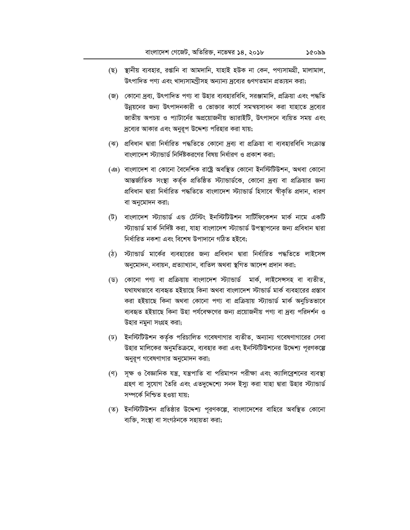- (ছ) স্থানীয় ব্যবহার, রপ্তানি বা আমদানি, যাহাই হউক না কেন, পণ্যসামগ্রী, মালামাল, উৎপাদিত পণ্য এবং খাদ্যসামগ্ৰীসহ অন্যান্য দ্ৰব্যের গুণগতমান প্ৰত্যয়ন করা;
- (জ) কোনো দ্রব্য, উৎপাদিত পণ্য বা উহার ব্যবহারবিধি, সরঞ্জামাদি, প্রক্রিয়া এবং পদ্ধতি উন্নয়নের জন্য উৎপাদনকারী ও ভোক্তার কার্যে সমন্বয়সাধন করা যাহাতে দ্রব্যের জাতীয় অপচয় ও প্যাটার্নের অপ্রয়োজনীয় ভ্যারাইটি, উৎপাদনে ব্যয়িত সময় এবং দ্রব্যের আকার এবং অনুরূপ উদ্দেশ্য পরিহার করা যায়;
- (ঝ) প্রবিধান দ্বারা নির্ধারিত পদ্ধতিতে কোনো দ্রব্য বা প্রক্রিয়া বা ব্যবহারবিধি সংক্রান্ত বাংলাদেশ স্ট্যান্ডার্ড নির্দিষ্টকরণের বিষয় নির্ধারণ ও প্রকাশ করা;
- (এঃ) বাংলাদেশ বা কোনো বৈদেশিক রাষ্ট্রে অবস্থিত কোনো ইনস্টিটিউশন, অথবা কোনো আন্তর্জাতিক সংস্থা কর্তৃক প্রতিষ্ঠিত স্ট্যান্ডার্ডকে, কোনো দ্রব্য বা প্রক্রিয়ার জন্য প্ৰবিধান দ্বারা নির্ধারিত পদ্ধতিতে বাংলাদেশ স্ট্যান্ডার্ড হিসাবে স্বীকৃতি প্রদান, ধারণ বা অনুমোদন করা;
- (ট) বাংলাদেশ স্ট্যান্ডাৰ্ড এন্ড টেস্টিং ইনস্টিটিউশন সাৰ্টিফিকেশন মাৰ্ক নামে একটি স্ট্যান্ডার্ড মার্ক নির্দিষ্ট করা, যাহা বাংলাদেশ স্ট্যান্ডার্ড উপস্থাপনের জন্য প্রবিধান দ্বারা নিৰ্ধাৱিত নকশা এবং বিশেষ উপাদানে গঠিত হইবে:
- (ঠ) স্ট্যান্ডার্ড মার্কের ব্যবহারের জন্য প্রবিধান দ্বারা নির্ধারিত পদ্ধতিতে লাইসেন্স অনুমোদন, নবায়ন, প্রত্যাখ্যান, বাতিল অথবা স্থগিত আদেশ প্রদান করা;
- (ড) কোনো পণ্য বা প্রক্রিয়ায় বাংলাদেশ স্ট্যান্ডার্ড মার্ক, লাইসেন্সসহ বা ব্যতীত, যথাযথভাবে ব্যবহৃত হইয়াছে কিনা অথবা বাংলাদেশ স্টান্ডার্ড মার্ক ব্যবহারের প্রস্তাব করা হইয়াছে কিনা অথবা কোনো পণ্য বা প্রক্রিয়ায় স্ট্যান্ডার্ড মার্ক অনুচিতভাবে ব্যবহৃত হইয়াছে কিনা উহা পর্যবেক্ষণের জন্য প্রয়োজনীয় পণ্য বা দ্রব্য পরিদর্শন ও উহার নমুনা সংগ্রহ করা;
- (ঢ) ইনস্টিটিউশন কর্তৃক পরিচালিত গবেষণাগার ব্যতীত, অন্যান্য গবেষণাগারের সেবা উহার মালিকের অনুমতিক্রমে, ব্যবহার করা এবং ইনস্টিটিউশনের উদ্দেশ্য পূরণকল্পে অনুরূপ গবেষণাগার অনুমোদন করা;
- (ণ) সক্ষ ও বৈজ্ঞানিক যন্ত্র, যন্ত্রপাতি বা পরিমাপন পরীক্ষা এবং ক্যালিব্রেশনের ব্যবস্থা গ্রহণ বা সুযোগ তৈরি এবং এতদুদ্দেশ্যে সনদ ইস্যু করা যাহা দ্বারা উহার স্ট্যান্ডার্ড সম্পৰ্কে নিশ্চিত হওয়া যায়;
- (ত) ইনস্টিটিউশন প্রতিষ্ঠার উদ্দেশ্য পূরণকল্পে, বাংলাদেশের বাহিরে অবস্থিত কোনো ব্যক্তি, সংস্থা বা সংগঠনকে সহায়তা করা;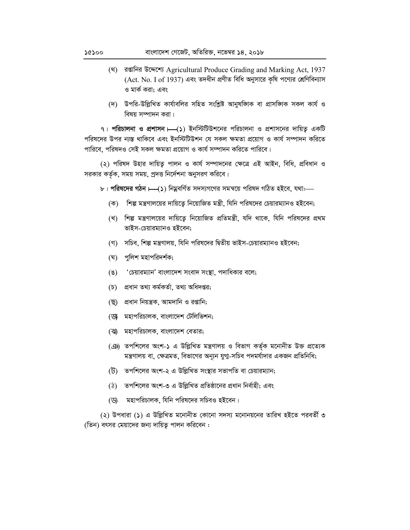- (থ) রগুনির উদ্দেশ্যে Agricultural Produce Grading and Marking Act, 1937 (Act. No. I of 1937) এবং তদধীন প্রণীত বিধি অনুসারে কৃষি পণ্যের শ্রেণিবিন্যাস ও মার্ক করা: এবং
- (দ) উপরি-উল্লিখিত কার্যাবলির সহিত সংশ্লিষ্ট আনুষজ্ঞাক বা প্রাসজ্ঞাক সকল কার্য ও বিষয় সম্পাদন করা।

৭। পরিচালনা ও প্রশাসন।—(১) ইনস্টিটিউশনের পরিচালনা ও প্রশাসনের দায়িত্ব একটি পরিষদের উপর ন্যস্ত থাকিবে এবং ইনস্টিটিউশন যে সকল ক্ষমতা প্রয়োগ ও কার্য সম্পাদন করিতে পারিবে, পরিষদও সেই সকল ক্ষমতা প্রয়োগ ও কার্য সম্পাদন করিতে পারিবে।

(২) পরিষদ উহার দায়িত্ব পালন ও কার্য সম্পাদনের ক্ষেত্রে এই আইন, বিধি, প্রবিধান ও সরকার কর্তৃক, সময় সময়, প্রদত্ত নির্দেশনা অনুসরণ করিবে।

- ৮। পরিষদের গঠন।—(১) নিয়বর্ণিত সদস্যগণের সমন্বয়ে পরিষদ গঠিত হইবে, যথা:—
	- (ক) শিল্প মন্ত্রণালয়ের দায়িতে নিয়োজিত মন্ত্রী, যিনি পরিষদের চেয়ারম্যানও হইবেন;
	- (খ) শিল্প মন্ত্রণালয়ের দায়িতে নিয়োজিত প্রতিমন্ত্রী, যদি থাকে, যিনি পরিষদের প্রথম ভাইস-চেয়ারম্যানও হইবেন:
	- (গ) সচিব, শিল্প মন্ত্রণালয়, যিনি পরিষদের দ্বিতীয় ভাইস-চেয়ারম্যানও হইবেন;
	- (ঘ) পুলিশ মহাপরিদর্শক;
	- 'চেয়ারম্যান' বাংলাদেশ সংবাদ সংস্থা, পদাধিকার বলে;  $(8)$
	- প্ৰধান তথ্য কৰ্মকৰ্তা, তথ্য অধিদপ্তর;  $(\overline{\mathfrak{d}})$
	- (ছ) প্রধান নিয়ন্ত্রক, আমদানি ও রপ্তানি;
	- (জ মহাপরিচালক, বাংলাদেশ টেলিভিশন;
	- (ঝ) মহাপরিচালক, বাংলাদেশ বেতার;
	- (ঞ) তপশিলের অংশ-১ এ উল্লিখিত মন্ত্রণালয় ও বিভাগ কর্তৃক মনোনীত উক্ত প্রত্যেক মন্ত্রণালয় বা, ক্ষেত্রমত, বিভাগের অন্যুন যুগা-সচিব পদমর্যাদার একজন প্রতিনিধি;
	- (ট) তপশিলের অংশ-২ এ উল্লিখিত সংস্থার সভাপতি বা চেয়ারম্যান;
	- (ঠ) তপশিলের অংশ-৩ এ উল্লিখিত প্রতিষ্ঠানের প্রধান নির্বাহী; এবং
	- মহাপরিচালক, যিনি পরিষদের সচিবও হইবেন। ডে

(২) উপধারা (১) এ উল্লিখিত মনোনীত কোনো সদস্য মনোনয়নের তারিখ হইতে পরবর্তী ৩ (তিন) বৎসর মেয়াদের জন্য দায়িত পালন করিবেন :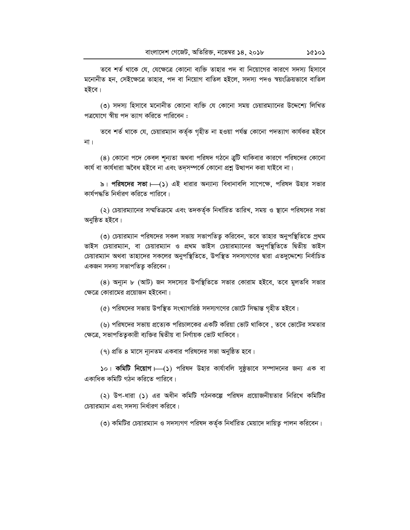তবে শর্ত থাকে যে, যেক্ষেত্রে কোনো ব্যক্তি তাহার পদ বা নিয়োগের কারণে সদস্য হিসাবে মনোনীত হন, সেইক্ষেত্রে তাহার, পদ বা নিয়োগ বাতিল হইলে, সদস্য পদও স্বয়ংক্রিয়ভাবে বাতিল হইবে।

(৩) সদস্য হিসাবে মনোনীত কোনো ব্যক্তি যে কোনো সময় চেয়ারম্যানের উদ্দেশ্যে লিখিত পত্রযোগে স্বীয় পদ ত্যাগ করিতে পারিবেন :

তবে শর্ত থাকে যে, চেয়ারম্যান কর্তৃক গৃহীত না হওয়া পর্যন্ত কোনো পদত্যাগ কার্যকর হইবে না ।

(৪) কোনো পদে কেবল শূন্যতা অথবা পরিষদ গঠনে ত্রুটি থাকিবার কারণে পরিষদের কোনো কাৰ্য বা কাৰ্যধারা অবৈধ হইবে না এবং তদসম্পর্কে কোনো প্রশ্ন উত্থাপন করা যাইবে না।

৯। পরিষদের সভা । (১) এই ধারার অন্যান্য বিধানাবলি সাপেক্ষে, পরিষদ উহার সভার কাৰ্যপদ্ধতি নিৰ্ধাৱণ কৱিতে পাৱিবে।

(২) চেয়ারম্যানের সম্মতিক্রমে এবং তদকর্তৃক নির্ধারিত তারিখ, সময় ও স্থানে পরিষদের সভা অনুষ্ঠিত হইবে।

(৩) চেয়ারম্যান পরিষদের সকল সভায় সভাপতিতু করিবেন, তবে তাহার অনুপস্থিতিতে প্রথম ভাইস চেয়ারম্যান, বা চেয়ারম্যান ও প্রথম ভাইস চেয়ারম্যানের অনুপস্থিতিতে দ্বিতীয় ভাইস চেয়ারম্যান অথবা তাহাদের সকলের অনুপস্থিতিতে, উপস্থিত সদস্যগণের দ্বারা এতদুদ্দেশ্যে নির্বাচিত একজন সদস্য সভাপতিতু করিবেন।

(8) অন্যূন ৮ (আট) জন সদস্যের উপস্থিতিতে সভার কোরাম হইবে, তবে মুলতবি সভার ক্ষেত্রে কোরামের প্রয়োজন হইবেনা।

(৫) পরিষদের সভায় উপস্থিত সংখ্যাগরিষ্ঠ সদস্যগণের ভোটে সিদ্ধান্ত গৃহীত হইবে।

(৬) পরিষদের সভায় প্রত্যেক পরিচালকের একটি করিয়া ভোট থাকিবে , তবে ভোটের সমতার ক্ষেত্রে, সভাপতিতুকারী ব্যক্তির দ্বিতীয় বা নির্ণায়ক ভোট থাকিবে।

(৭) প্রতি ৪ মাসে ন্যূনতম একবার পরিষদের সভা অনুষ্ঠিত হবে।

 $\mathsf{S} \circ \mathsf{l}$  কমিটি নিয়োগ  $\mathsf{l} \rightarrow \mathsf{S}$ ) পরিষদ উহার কার্যাবলি সুষ্ঠূভাবে সম্পাদনের জন্য এক বা একাধিক কমিটি গঠন করিতে পারিবে।

(২) উপ-ধারা (১) এর অধীন কমিটি গঠনকল্পে পরিষদ প্রয়োজনীয়তার নিরিখে কমিটির চেয়ারম্যান এবং সদস্য নির্ধারণ করিবে।

(৩) কমিটির চেয়ারম্যান ও সদস্যগণ পরিষদ কর্তৃক নির্ধারিত মেয়াদে দায়িত্ব পালন করিবেন।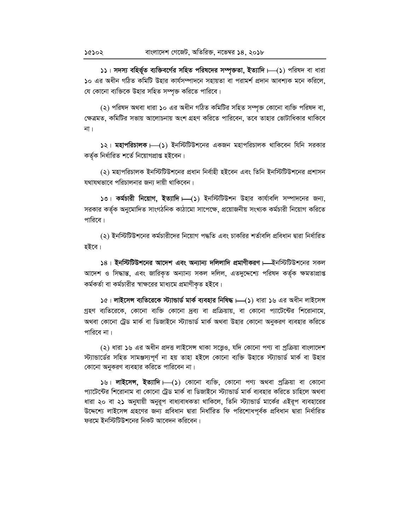১১। সদস্য বহির্ভূত ব্যক্তিবর্গের সহিত পরিষদের সম্পৃক্ততা, ইত্যাদি। (১) পরিষদ বা ধারা ১০ এর অধীন গঠিত কমিটি উহার কার্যসম্পাদনে সহায়তা বা পরামর্শ প্রদান আবশ্যক মনে করিলে, যে কোনো ব্যক্তিকে উহার সহিত সম্পৃক্ত করিতে পারিবে।

(২) পরিষদ অথবা ধারা ১০ এর অধীন গঠিত কমিটির সহিত সম্পৃক্ত কোনো ব্যক্তি পরিষদ বা, ক্ষেত্রমত, কমিটির সভায় আলোচনায় অংশ গ্রহণ করিতে পারিবেন, তবে তাহার ভোটাধিকার থাকিবে না $|$ 

১২। মহাপরিচালক।—(১) ইনস্টিটিউশনের একজন মহাপরিচালক থাকিবেন যিনি সরকার কৰ্তৃক নিৰ্ধারিত শৰ্তে নিয়োগপ্ৰাপ্ত হইবেন।

(২) মহাপরিচালক ইনস্টিটিউশনের প্রধান নির্বাহী হইবেন এবং তিনি ইনস্টিটিউশনের প্রশাসন যথাযথভাবে পরিচালনার জন্য দায়ী থাকিবেন।

১৩। কর্মচারী নিয়োগ, ইত্যাদি। (১) ইনস্টিটিউশন উহার কার্যাবলি সম্পাদনের জন্য, সরকার কর্তৃক অনুমোদিত সাংগঠনিক কাঠামো সাপেক্ষে, প্রয়োজনীয় সংখ্যক কর্মচারী নিয়োগ করিতে পারিবে।

(২) ইনস্টিটিউশনের কর্মচারীদের নিয়োগ পদ্ধতি এবং চাকরির শর্তাবলি প্রবিধান দ্বারা নির্ধারিত হইবে।

১৪। ইনস্টিটিউশনের আদেশ এবং অন্যান্য দলিলাদি প্রমাণীকরণ । ইনস্টিটিউশনের সকল আদেশ ও সিদ্ধান্ত, এবং জারিকৃত অন্যান্য সকল দলিল, এতদুদ্দেশ্যে পরিষদ কর্তৃক ক্ষমতাপ্রাপ্ত কর্মকর্তা বা কর্মচারীর স্বাক্ষরের মাধ্যমে প্রমাণীকৃত হইবে।

১৫। লাইসেন্স ব্যতিরেকে স্ট্যান্ডার্ড মার্ক ব্যবহার নিষিদ্ধ।—(১) ধারা ১৬ এর অধীন লাইসেন্স গ্রহণ ব্যতিরেকে, কোনো ব্যক্তি কোনো দ্রব্য বা প্রক্রিয়ায়, বা কোনো প্যাটেন্টের শিরোনামে, অথবা কোনো ট্রেড মার্ক বা ডিজাইনে স্ট্যান্ডার্ড মার্ক অথবা উহার কোনো অনুকরণ ব্যবহার করিতে পারিবে না।

(২) ধারা ১৬ এর অধীন প্রদত্ত লাইসেন্স থাকা সত্ত্বেও, যদি কোনো পণ্য বা প্রক্রিয়া বাংলাদেশ স্ট্যান্ডার্ডের সহিত সামঞ্জস্যপূর্ণ না হয় তাহা হইলে কোনো ব্যক্তি উহাতে স্ট্যান্ডার্ড মার্ক বা উহার কোনো অনুকরণ ব্যবহার করিতে পারিবেন না।

১৬। **লাইসেন্স, ইত্যাদি।—(১**) কোনো ব্যক্তি, কোনো পণ্য অথবা প্ৰক্ৰিয়া বা কোনো প্যাটেন্টের শিরোনাম বা কোনো ট্রেড মার্ক বা ডিজাইনে স্ট্যান্ডার্ড মার্ক ব্যবহার করিতে চাহিলে অথবা ধারা ২০ বা ২১ অনুযায়ী অনুরূপ বাধ্যবাধকতা থাকিলে, তিনি স্ট্যান্ডার্ড মার্কের এইরূপ ব্যবহারের উদ্দেশ্যে লাইসেন্স গ্রহণের জন্য প্রবিধান দ্বারা নির্ধারিত ফি পরিশোধপূর্বক প্রবিধান দ্বারা নির্ধারিত ফরমে ইনস্টিটিউশনের নিকট আবেদন করিবেন।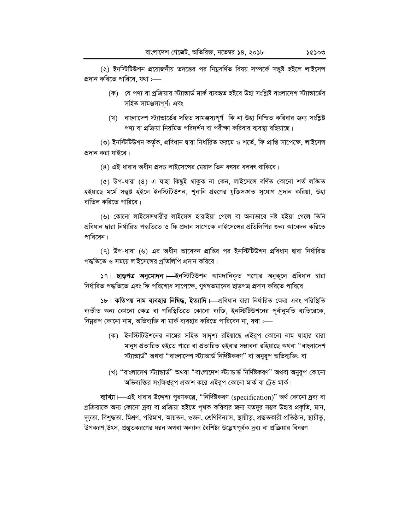(২) ইনস্টিটিউশন প্রয়োজনীয় তদন্তের পর নিয়ুবর্ণিত বিষয় সম্পর্কে সত্তুষ্ট হইলে লাইসেন্স প্রদান করিতে পারিবে, যথা :----

- (ক) যে পণ্য বা প্ৰক্ৰিয়ায় স্ট্যান্ডাৰ্ড মাৰ্ক ব্যবহৃত হইবে উহা সংশ্লিষ্ট বাংলাদেশ স্ট্যান্ডাৰ্ডের সহিত সামঞ্জস্যপূর্ণ; এবং
- (খ) বাংলাদেশ স্ট্যান্ডার্ডের সহিত সামঞ্জস্যপূর্ণ কি না উহা নিশ্চিত করিবার জন্য সংশ্লিষ্ট পণ্য বা প্রক্রিয়া নিয়মিত পরিদর্শন বা পরীক্ষা করিবার ব্যবস্থা রহিয়াছে।

(৩) ইনস্টিটিউশন কর্তৃক, প্রবিধান দ্বারা নির্ধারিত ফরমে ও শর্তে, ফি প্রাপ্তি সাপেক্ষে, লাইসেন্স প্রদান করা যাইবে।

(8) এই ধারার অধীন প্রদত্ত লাইসেঙ্গের মেয়াদ তিন বৎসর বলবৎ থাকিবে।

(৫) উপ-ধারা (৪) এ যাহা কিছুই থাকুক না কেন, লাইসেঙ্গে বর্ণিত কোনো শর্ত লঙ্ঘিত হইয়াছে মৰ্মে সন্তুষ্ট হইলে ইনস্টিটিউশন, শুনানি গ্ৰহণের যুক্তিসজাত সুযোগ প্রদান করিয়া, উহা বাতিল করিতে পারিবে।

(৬) কোনো লাইসেন্সধারীর লাইসেন্স হারাইয়া গেলে বা অন্যভাবে নষ্ট হইয়া গেলে তিনি প্ৰবিধান দ্বারা নির্ধারিত পদ্ধতিতে ও ফি প্রদান সাপেক্ষে লাইসেঙ্গের প্রতিলিপির জন্য আবেদন করিতে পারিবেন।

(9) উপ-ধারা (৬) এর অধীন আবেদন প্রাপ্তির পর ইনস্টিটিউশন প্রবিধান দ্বারা নির্ধারিত পদ্ধতিতে ও সময়ে লাইসেঙ্গের প্রতিলিপি প্রদান করিবে।

১৭। ছাড়পত্র অনুমোদন। ইনস্টিটিশন আমদানিকৃত পণ্যের অনুকূলে প্রবিধান দ্বারা নির্ধারিত পদ্ধতিতে এবং ফি পরিশোধ সাপেক্ষে, গুণগতমানের ছাড়পত্র প্রদান করিতে পারিবে।

১৮। কতিপয় নাম ব্যবহার নিষিদ্ধ, ইত্যাদি। এবিধান দ্বারা নির্ধারিত ক্ষেত্র এবং পরিস্থিতি ব্যতীত অন্য কোনো ক্ষেত্র বা পরিস্থিতিতে কোনো ব্যক্তি, ইনস্টিটিউশনের পূর্বানুমতি ব্যতিরেকে, নিয়ুরূপ কোনো নাম, অভিব্যক্তি বা মার্ক ব্যবহার করিতে পারিবেন না, যথা :—

- (ক) ইনস্টিটিউশনের নামের সহিত সাদৃশ্য রহিয়াছে এইরূপ কোনো নাম যাহার দ্বারা মানুষ প্রতারিত হইতে পারে বা প্রতারিত হইবার সম্ভাবনা রহিয়াছে অথবা "বাংলাদেশ স্ট্যান্ডার্ড" অথবা "বাংলাদেশ স্ট্যান্ডার্ড নির্দিষ্টকরণ" বা অনুরূপ অভিব্যক্তি; বা
- (খ) "বাংলাদেশ স্ট্যান্ডার্ড" অথবা "বাংলাদেশ স্ট্যান্ডার্ড নির্দিষ্টকরণ" অথবা অনুরূপ কোনো অভিব্যক্তির সংক্ষিপ্তরূপ প্রকাশ করে এইরূপ কোনো মার্ক বা ট্রেড মার্ক।

ব্যাখ্যা ।—এই ধারার উদ্দেশ্য পূরণকল্পে, "নির্দিষ্টকরণ (specification)" অর্থ কোনো দ্রব্য বা প্রক্রিয়াকে অন্য কোনো দ্রব্য বা প্রক্রিয়া হইতে পৃথক করিবার জন্য যতদূর সম্ভব উহার প্রকৃতি, মান, দৃঢ়তা, বিশুদ্ধতা, মিশ্রণ, পরিমাণ, আয়তন, ওজন, শ্রেণিবিন্যাস, স্থায়ীতু, প্রস্ততকারী প্রতিষ্ঠান, স্থায়ীতু, উপকরণ,উৎস, প্রস্তুতকরণের ধরন অথবা অন্যান্য বৈশিষ্ট্য উল্লেখপূর্বক দ্রব্য বা প্রক্রিয়ার বিবরণ।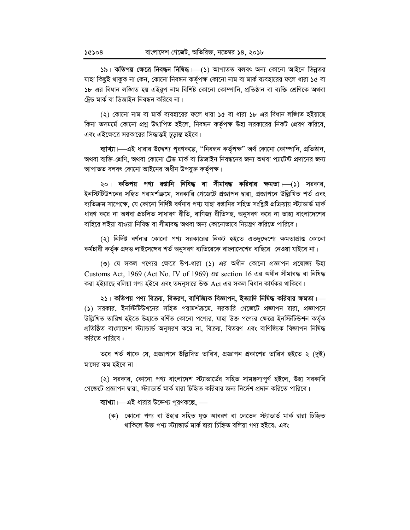১৯। কতিপয় ক্ষেত্রে নিবন্ধন নিষিদ্ধ । (১) আপাতত বলবৎ অন্য কোনো আইনে ভিন্নতর যাহা কিছুই থাকুক না কেন, কোনো নিবন্ধন কর্তৃপক্ষ কোনো নাম বা মার্ক ব্যবহারের ফলে ধারা ১৫ বা ১৮ এর বিধান লজিত হয় এইরূপ নাম বিশিষ্ট কোনো কোম্পানি, প্রতিষ্ঠান বা ব্যক্তি শ্রেণিকে অথবা ট্ৰেড মাৰ্ক বা ডিজাইন নিবন্ধন করিবে না।

(২) কোনো নাম বা মার্ক ব্যবহারের ফলে ধারা ১৫ বা ধারা ১৮ এর বিধান লজিত হইয়াছে কিনা তদমর্মে কোনো প্রশ্ন উত্থাপিত হইলে, নিবন্ধন কর্তৃপক্ষ উহা সরকারের নিকট প্রেরণ করিবে, এবং এইক্ষেত্রে সরকারের সিদ্ধান্তই চূড়ান্ত হইবে।

ব্যাখ্যা ।—এই ধারার উদ্দেশ্য পূরণকল্পে, "নিবন্ধন কর্তৃপক্ষ" অর্থ কোনো কোম্পানি, প্রতিষ্ঠান, অথবা ব্যক্তি-শ্রেণি, অথবা কোনো ট্রেড মার্ক বা ডিজাইন নিবন্ধনের জন্য অথবা প্যাটেন্ট প্রদানের জন্য আপাতত বলবৎ কোনো আইনের অধীন উপযুক্ত কর্তৃপক্ষ।

২০। কতিপয় পণ্য রপ্তানি নিষিদ্ধ বা সীমাবদ্ধ করিবার ক্ষমতা। (১) সরকার, ইনস্টিটিউশনের সহিত পরামর্শক্রমে, সরকারি গেজেটে প্রজ্ঞাপন দ্বারা, প্রজ্ঞাপনে উল্লিখিত শর্ত এবং ব্যতিক্রম সাপেক্ষে, যে কোনো নির্দিষ্ট বর্ণনার পণ্য যাহা রপ্তানির সহিত সংশ্লিষ্ট প্রক্রিয়ায় স্ট্যান্ডার্ড মার্ক ধারণ করে না অথবা প্রচলিত সাধারণ রীতি, বাণিজ্য রীতিসহ, অনুসরণ করে না তাহা বাংলাদেশের বাহিরে লইয়া যাওয়া নিষিদ্ধ বা সীমাবদ্ধ অথবা অন্য কোনোভাবে নিয়ন্ত্রণ করিতে পারিবে।

(২) নির্দিষ্ট বর্ণনার কোনো পণ্য সরকারের নিকট হইতে এতদুদ্দেশ্যে ক্ষমতাপ্রাপ্ত কোনো কর্মচারী কর্তৃক প্রদত্ত লাইসেন্সের শর্ত অনুসরণ ব্যতিরেকে বাংলাদেশের বাহিরে নেওয়া যাইবে না।

(৩) যে সকল পণ্যের ক্ষেত্রে উপ-ধারা (১) এর অধীন কোনো প্রজ্ঞাপন প্রযোজ্য উহা Customs Act, 1969 (Act No. IV of 1969) এর section 16 এর অধীন সীমাবদ্ধ বা নিষিদ্ধ করা হইয়াছে বলিয়া গণ্য হইবে এবং তদনুসারে উক্ত Act এর সকল বিধান কার্যকর থাকিবে।

২১। কতিপয় পণ্য বিক্রয়, বিতরণ, বাণিজ্যিক বিজ্ঞাপন, ইত্যাদি নিষিদ্ধ করিবার ক্ষমতা।— (১) সরকার, ইনস্টিটিশনের সহিত পরামর্শক্রমে, সরকারি গেজেটে প্রজ্ঞাপন দ্বারা, প্রজ্ঞাপনে উল্লিখিত তারিখ হইতে উহাতে বর্ণিত কোনো পণ্যের, যাহা উক্ত পণ্যের ক্ষেত্রে ইনস্টিটিউশন কর্তৃক প্রতিষ্ঠিত বাংলাদেশ স্ট্যান্ডার্ড অনুসরণ করে না, বিক্রয়, বিতরণ এবং বাণিজ্যিক বিজ্ঞাপন নিষিদ্ধ করিতে পারিবে :

তবে শর্ত থাকে যে, প্রজ্ঞাপনে উল্লিখিত তারিখ, প্রজ্ঞাপন প্রকাশের তারিখ হইতে ২ (দুই) মাসের কম হইবে না।

(২) সরকার, কোনো পণ্য বাংলাদেশ স্ট্যান্ডার্ডের সহিত সামঞ্জস্যপূর্ণ হইলে, উহা সরকারি গেজেটে প্রজ্ঞাপন দ্বারা, স্ট্যান্ডার্ড মার্ক দ্বারা চিহ্নিত করিবার জন্য নির্দেশ প্রদান করিতে পারিবে।

ব্যাখ্যা  $1$ —এই ধারার উদ্দেশ্য পূরণকল্পে, —

(ক) কোনো পণ্য বা উহার সহিত যুক্ত আবরণ বা লেভেল স্ট্যান্ডার্ড মার্ক দ্বারা চিহ্নিত থাকিলে উক্ত পণ্য স্ট্যান্ডাৰ্ড মাৰ্ক দ্বারা চিহ্নিত বলিয়া গণ্য হইবে; এবং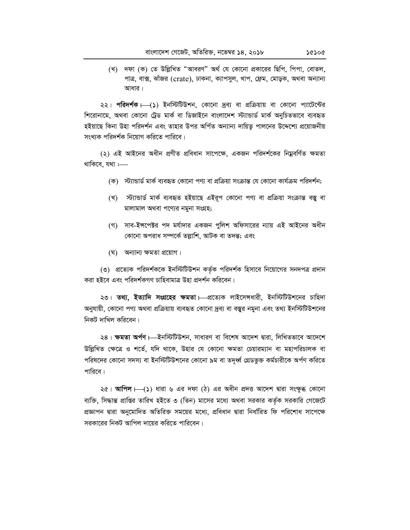(খ) দফা (ক) তে উল্লিখিত "আবরণ" অর্থ যে কোনো প্রকারের ছিপি, পিপা, বোতল, পাত্র, বাক্স, ঝাঁজর (crate), ঢাকনা, ক্যাপসুল, খাপ, ফ্রেম, মোড়ক, অথবা অন্যান্য আধার।

২২। পরিদর্শক। (১) ইনস্টিটিউশন, কোনো দ্রব্য বা প্রক্রিয়ায় বা কোনো প্যাটেন্টের শিরোনামে, অথবা কোনো ট্রেড মার্ক বা ডিজাইনে বাংলাদেশ স্ট্যান্ডার্ড মার্ক অনুচিতভাবে ব্যবহৃত হইয়াছে কিনা উহা পরিদর্শন এবং তাহার উপর অর্পিত অন্যান্য দায়িতু পালনের উদ্দেশ্যে প্রয়োজনীয় সংখ্যক পরিদর্শক নিয়োগ করিতে পারিবে।

(২) এই আইনের অধীন প্রণীত প্রবিধান সাপেক্ষে, একজন পরিদর্শকের নিম্নবর্ণিত ক্ষমতা থাকিবে. যথা :—–

- (ক) স্ট্যান্ডার্ড মার্ক ব্যবহৃত কোনো পণ্য বা প্রক্রিয়া সংক্রান্ত যে কোনো কার্যক্রম পরিদর্শন:
- (খ) স্ট্যান্ডার্ড মার্ক ব্যবহৃত হইয়াছে এইরূপ কোনো পণ্য বা প্রক্রিয়া সংক্রান্ত বস্তু বা মালামাল অথবা পণ্যের নমুনা সংগ্রহ;
- (গ) সাব-ইন্সপেক্টর পদ মর্যাদার একজন পুলিশ অফিসারের ন্যায় এই আইনের অধীন কোনো অপরাধ সম্পর্কে তল্লাশি, আটক বা তদন্ত; এবং
- (ঘ) অন্যান্য ক্ষমতা প্রয়োগ।

(৩) প্রত্যেক পরিদর্শককে ইনস্টিটিউশন কর্তৃক পরিদর্শক হিসাবে নিয়োগের সনদপত্র প্রদান করা হইবে এবং পরিদর্শকগণ চাহিবামাত্র উহা প্রদর্শন করিবেন।

২৩। তথ্য, ইত্যাদি সংগ্রহের ক্ষমতা।—প্রত্যেক লাইসেন্সধারী, ইনস্টিটিউশনের চাহিদা অনুযায়ী, কোনো পণ্য অথবা প্রক্রিয়ায় ব্যবহৃত কোনো দ্রব্য বা বস্তুর নমুনা এবং তথ্য ইনস্টিটিউশনের নিকট দাখিল করিবেন।

২৪। ক্ষমতা অৰ্পণ ।—ইনস্টিটিউশন, সাধারণ বা বিশেষ আদেশ দ্বারা, লিখিতভাবে আদেশে উল্লিখিত ক্ষেত্রে ও শর্তে, যদি থাকে, উহার যে কোনো ক্ষমতা চেয়ারম্যান বা মহাপরিচালক বা পরিষদের কোনো সদস্য বা ইনস্টিটিউশনের কোনো ৯ম বা তদূর্ধ্ব গ্রেডভুক্ত কর্মচারীকে অর্পণ করিতে পারিবে।

২৫। **আপিল।—(১**) ধারা ৬ এর দফা (ঠ) এর অধীন প্রদত্ত আদেশ দ্বারা সংক্ষুব্ধ কোনো ব্যক্তি, সিদ্ধান্ত প্রাপ্তির তারিখ হইতে ৩ (তিন) মাসের মধ্যে অথবা সরকার কর্তৃক সরকারি গেজেটে প্রজ্ঞাপন দ্বারা অনুমোদিত অতিরিক্ত সময়ের মধ্যে, প্রবিধান দ্বারা নির্ধারিত ফি পরিশোধ সাপেক্ষে সরকারের নিকট আপিল দায়ের করিতে পারিবেন।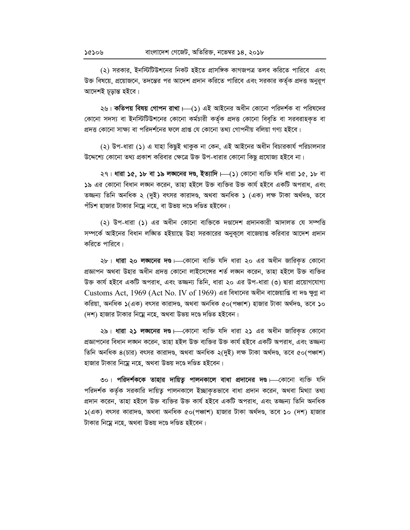(২) সরকার, ইনস্টিটিউশনের নিকট হইতে প্রাসঙ্গিক কাগজপত্র তলব করিতে পারিবে এবং উক্ত বিষয়ে, প্রয়োজনে, তদন্তের পর আদেশ প্রদান করিতে পারিবে এবং সরকার কর্তৃক প্রদত্ত অনুরূপ আদেশই চূড়ান্ত হইবে।

২৬। **কতিপয় বিষয় গোপন রাখা ।—(১**) এই আইনের অধীন কোনো পরিদর্শক বা পরিষদের কোনো সদস্য বা ইনস্টিটিউশনের কোনো কর্মচারী কর্তৃক প্রদত্ত কোনো বিবৃতি বা সরবরাহকত বা প্রদত্ত কোনো সাক্ষ্য বা পরিদর্শনের ফলে প্রাপ্ত যে কোনো তথ্য গোপনীয় বলিয়া গণ্য হইবে।

(২) উপ-ধারা (১) এ যাহা কিছুই থাকুক না কেন, এই আইনের অধীন বিচারকার্য পরিচালনার উদ্দেশ্যে কোনো তথ্য প্রকাশ করিবার ক্ষেত্রে উক্ত উপ-ধারার কোনো কিছু প্রযোজ্য হইবে না।

২৭। ধারা ১৫, ১৮ বা ১৯ লঙ্ঘনের দণ্ড, ইত্যাদি।—(১) কোনো ব্যক্তি যদি ধারা ১৫, ১৮ বা ১৯ এর কোনো বিধান লঙ্ঘন করেন, তাহা হইলে উক্ত ব্যক্তির উক্ত কার্য হইবে একটি অপরাধ, এবং তজ্জন্য তিনি অনধিক ২ (দুই) বৎসর কারাদণ্ড, অথবা অনধিক ১ (এক) লক্ষ টাকা অর্থদণ্ড, তবে পঁচিশ হাজার টাকার নিম্নে নহে, বা উভয় দণ্ডে দণ্ডিত হইবেন।

(২) উপ-ধারা (১) এর অধীন কোনো ব্যক্তিকে দণ্ডাদেশ প্রদানকারী আদালত যে সম্পত্তি সম্পর্কে আইনের বিধান লঙ্ঘিত হইয়াছে উহা সরকারের অনুকলে বাজেয়াপ্ত করিবার আদেশ প্রদান করিতে পারিবে।

২৮। ধারা ২০ লঙ্ঘনের দণ্ড। - কোনো ব্যক্তি যদি ধারা ২০ এর অধীন জারিকৃত কোনো প্রজ্ঞাপন অথবা উহার অধীন প্রদত্ত কোনো লাইসেঙ্গের শর্ত লঙ্ঘন করেন, তাহা হইলে উক্ত ব্যক্তির উক্ত কার্য হইবে একটি অপরাধ, এবং তজ্জন্য তিনি, ধারা ২০ এর উপ-ধারা (৩) দ্বারা প্রয়োগযোগ্য Customs Act, 1969 (Act No. IV of 1969) এর বিধানের অধীন বাজেয়াণ্ডি বা দণ্ড ক্ষুণ্ণ না করিয়া, অনধিক ১(এক) বৎসর কারাদণ্ড, অথবা অনধিক ৫০(পঞ্চাশ) হাজার টাকা অর্থদণ্ড, তবে ১০ (দশ) হাজার টাকার নিম্নে নহে, অথবা উভয় দণ্ডে দণ্ডিত হইবেন।

২৯। ধারা ২১ লঙ্ঘনের দণ্ড। কোনো ব্যক্তি যদি ধারা ২১ এর অধীন জারিকৃত কোনো প্রজ্ঞাপনের বিধান লঙ্ঘন করেন, তাহা হইল উক্ত ব্যক্তির উক্ত কার্য হইবে একটি অপরাধ, এবং তজ্জন্য তিনি অনধিক ৪(চার) বৎসর কারাদণ্ড, অথবা অনধিক ২(দুই) লক্ষ টাকা অর্থদণ্ড, তবে ৫০(পঞ্চাশ) হাজার টাকার নিম্নে নহে, অথবা উভয় দণ্ডে দণ্ডিত হইবেন।

৩০। পরিদর্শককে তাহার দায়িত্ব পালনকালে বাধা প্রদানের দণ্ড।—কোনো ব্যক্তি যদি পরিদর্শক কর্তৃক সরকারি দায়িত্ব পালনকালে ইচ্ছাকৃতভাবে বাধা প্রদান করেন, অথবা মিথ্যা তথ্য প্রদান করেন, তাহা হইলে উক্ত ব্যক্তির উক্ত কার্য হইবে একটি অপরাধ, এবং তজ্জন্য তিনি অনধিক ১(এক) বৎসর কারাদণ্ড, অথবা অনধিক ৫০(পঞ্চাশ) হাজার টাকা অর্থদণ্ড, তবে ১০ (দশ) হাজার টাকার নিম্নে নহে, অথবা উভয় দণ্ডে দণ্ডিত হইবেন।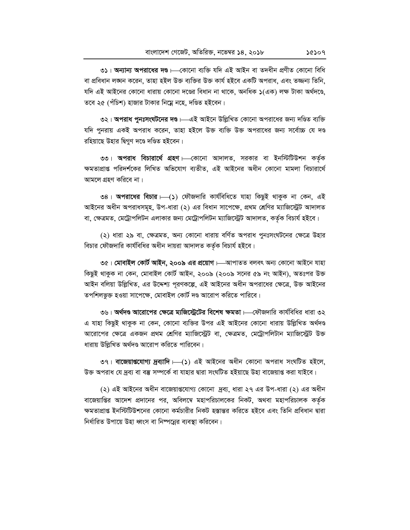৩১। অন্যান্য অপরাধের দণ্ড। বেগনো ব্যক্তি যদি এই আইন বা তদধীন প্রণীত কোনো বিধি বা প্রবিধান লঙ্ঘন করেন, তাহা হইল উক্ত ব্যক্তির উক্ত কার্য হইবে একটি অপরাধ, এবং তজ্জন্য তিনি, যদি এই আইনের কোনো ধারায় কোনো দণ্ডের বিধান না থাকে, অনধিক ১(এক) লক্ষ টাকা অর্থদণ্ডে. তবে ২৫ (পঁচিশ) হাজার টাকার নিম্নে নহে, দণ্ডিত হইবেন।

৩২। **অপরাধ পুনঃসংঘটনের দণ্ড।**—এই আইনে উল্লিখিত কোনো অপরাধের জন্য দণ্ডিত ব্যক্তি যদি পুনরায় একই অপরাধ করেন, তাহা হইলে উক্ত ব্যক্তি উক্ত অপরাধের জন্য সর্বোচ্চ যে দণ্ড রহিয়াছে উহার দ্বিগুণ দণ্ডে দণ্ডিত হইবেন।

৩৩। **অপরাধ বিচারার্থে গ্রহণ**।—কোনো আদালত, সরকার বা ইনস্টিটিউশন কর্তৃক ক্ষমতাপ্রাপ্ত পরিদর্শকের লিখিত অভিযোগ ব্যতীত, এই আইনের অধীন কোনো মামলা বিচারার্থে আমলে গ্রহণ করিবে না।

৩৪। অপরাধের বিচার ––(১) ফৌজদারি কার্যবিধিতে যাহা কিছুই থাকুক না কেন, এই আইনের অধীন অপরাধসমূহ, উপ-ধারা (২) এর বিধান সাপেক্ষে, প্রথম শ্রেণির ম্যাজিস্ট্রেট আদালত বা, ক্ষেত্রমত, মেট্রোপলিটন এলাকার জন্য মেট্রোপলিটন ম্যাজিস্ট্রেট আদালত, কর্তৃক বিচার্য হইবে।

(২) ধারা ২৯ বা, ক্ষেত্রমত, অন্য কোনো ধারায় বর্ণিত অপরাধ পুনঃসংঘটনের ক্ষেত্রে উহার বিচার ফৌজদারি কার্যবিধির অধীন দায়রা আদালত কর্তৃক বিচার্য হইবে।

৩৫। মোবাইল কোর্ট আইন, ২০০৯ এর প্রয়োগ ।—আপাতত বলবৎ অন্য কোনো আইনে যাহা কিছুই থাকুক না কেন, মোবাইল কোর্ট আইন, ২০০৯ (২০০৯ সনের ৫৯ নং আইন), অতঃপর উক্ত আইন বলিয়া উল্লিখিত, এর উদ্দেশ্য পূরণকল্পে, এই আইনের অধীন অপরাধের ক্ষেত্রে, উক্ত আইনের তপশিলভুক্ত হওয়া সাপেক্ষে, মোবাইল কোর্ট দণ্ড আরোপ করিতে পারিবে।

৩৬। **অর্থদণ্ড আরোপের ক্ষেত্রে ম্যজিস্ট্রেটের বিশেষ ক্ষমতা**।—ফৌজদারি কার্যবিধির ধারা ৩২ এ যাহা কিছুই থাকুক না কেন, কোনো ব্যক্তির উপর এই আইনের কোনো ধারায় উল্লিখিত অর্থদণ্ড আরোপের ক্ষেত্রে একজন প্রথম শ্রেণির ম্যাজিস্ট্রেট বা, ক্ষেত্রমত, মেট্রোপলিটান ম্যাজিস্ট্রেট উক্ত ধারায় উল্লিখিত অর্থদণ্ড আরোপ করিতে পারিবেন।

৩৭। বাজেয়াগুযোগ্য দ্রব্যাদি  $\longmapsto$  এই আইনের অধীন কোনো অপরাধ সংঘটিত হইলে, উক্ত অপরাধ যে দ্রব্য বা বম্ভ সম্পর্কে বা যাহার দ্বারা সংঘটিত হইয়াছে উহা বাজেয়াপ্ত করা যাইবে।

(২) এই আইনের অধীন বাজেয়াগুযোগ্য কোনো দ্রব্য, ধারা ২৭ এর উপ-ধারা (২) এর অধীন বাজেয়াপ্তির আদেশ প্রদানের পর, অবিলম্বে মহাপরিচালকের নিকট, অথবা মহাপরিচালক কর্তৃক ক্ষমতাপ্রাপ্ত ইনস্টিটিউশনের কোনো কর্মচারীর নিকট হস্তান্তর করিতে হইবে এবং তিনি প্রবিধান দ্বারা নির্ধারিত উপায়ে উহা ধ্বংস বা নিষ্পন্নের ব্যবস্থা করিবেন।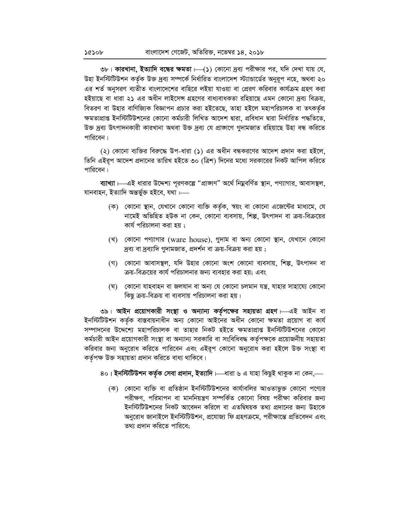৩৮। **কারখানা, ইত্যাদি বন্ধের ক্ষমতা**।—(১) কোনো দ্রব্য পরীক্ষার পর, যদি দেখা যায় যে, উহা ইনস্টিটিউশন কর্তৃক উক্ত দ্রব্য সম্পর্কে নির্ধারিত বাংলাদেশ স্ট্যান্ডার্ডের অনুরূপ নহে, অথবা ২০ এর শর্ত অনুসরণ ব্যতীত বাংলাদেশের বাহিরে লইয়া যাওয়া বা প্রেরণ করিবার কার্যক্রম গ্রহণ করা হইয়াছে বা ধারা ২১ এর অধীন লাইসেন্স গ্রহণের বাধ্যবাধকতা রহিয়াছে এমন কোনো দ্রব্য বিক্রয়, বিতরণ বা উহার বাণিজ্যিক বিজ্ঞাপন প্রচার করা হইতেছে, তাহা হইলে মহাপরিচালক বা তৎকর্তৃক ক্ষমতাপ্রাপ্ত ইনস্টিটিউশনের কোনো কর্মচারী লিখিত আদেশ দ্বারা, প্রবিধান দ্বারা নির্ধারিত পদ্ধতিতে, উক্ত দ্ৰব্য উৎপাদনকারী কারখানা অথবা উক্ত দ্ৰব্য যে প্ৰাজ্ঞাণে গুদামজাত রহিয়াছে উহা বন্ধ করিতে পারিবেন।

(২) কোনো ব্যক্তির বিরুদ্ধে উপ-ধারা (১) এর অধীন বন্ধকরণের আদেশ প্রদান করা হইলে, তিনি এইরূপ আদেশ প্রদানের তারিখ হইতে ৩০ (ত্রিশ) দিনের মধ্যে সরকারের নিকট আপিল করিতে পারিবেন।

ব্যাখ্যা ।—এই ধারার উদ্দেশ্য পূরণকল্পে "প্রাজ্ঞাণ" অর্থে নিম্নবর্ণিত স্থান, পণ্যাগার, আবাসস্থল, যানবাহন, ইত্যাদি অন্তৰ্ভুক্ত হইবে, যথা :----

- (ক) কোনো স্থান, যেখানে কোনো ব্যক্তি কর্তৃক, স্বয়ং বা কোনো এজেন্টের মাধ্যমে, যে নামেই অভিহিত হউক না কেন, কোনো ব্যবসায়, শিল্প, উৎপাদন বা ক্রয়-বিক্রয়ের কার্য পরিচালনা করা হয় :
- (খ) কোনো পণ্যাগার (ware house), গুদাম বা অন্য কোনো স্থান, যেখানে কোনো দ্রব্য বা দ্রব্যাদি গুদামজাত, প্রদর্শন বা ক্রয়-বিক্রয় করা হয় ;
- (গ) কোনো আবাসস্থল, যদি উহার কোনো অংশ কোনো ব্যবসায়, শিল্প, উৎপাদন বা ক্রয়-বিক্রয়ের কার্য পরিচালনার জন্য ব্যবহার করা হয়; এবং
- (ঘ) কোনো যাহবাহন বা জলযান বা অন্য যে কোনো চলমান যন্ত্ৰ, যাহার সাহায্যে কোনো কিছু ক্রয়-বিক্রয় বা ব্যবসায় পরিচালনা করা হয়।

৩৯। আইন প্রয়োগকারী সংস্থা ও অন্যান্য কর্তৃপক্ষের সহায়তা গ্রহণ। এই আইন বা ইনস্টিটিউশন কর্তৃক বাস্তবায়নাধীন অন্য কোনো আইনের অধীন কোনো ক্ষমতা প্রয়োগ বা কার্য সম্পাদনের উদ্দেশ্যে মহাপরিচালক বা তাহার নিকট হইতে ক্ষমতাপ্রাপ্ত ইনস্টিটিউশনের কোনো কর্মচারী আইন প্রয়োগকারী সংস্থা বা অন্যান্য সরকারি বা সংবিধিবদ্ধ কর্তৃপক্ষকে প্রয়োজনীয় সহায়তা করিবার জন্য অনুরোধ করিতে পারিবেন এবং এইরূপ কোনো অনুরোধ করা হইলে উক্ত সংস্থা বা কর্তৃপক্ষ উক্ত সহায়তা প্রদান করিতে বাধ্য থাকিবে।

- 8০। ইনস্টিটিউশন কৰ্তৃক সেবা প্ৰদান, ইত্যাদি।—ধারা ৬ এ যাহা কিছুই থাকুক না কেন,—
	- (ক) কোনো ব্যক্তি বা প্রতিষ্ঠান ইনস্টিটিউশনের কার্যাবলির আওতাভুক্ত কোনো পণ্যের পরীক্ষণ, পরিমাপন বা মাননিয়ন্ত্রণ সম্পর্কিত কোনো বিষয় পরীক্ষা করিবার জন্য ইনস্টিটিউশনের নিকট আবেদন করিলে বা এতদ্বিষয়ক তথ্য প্রদানের জন্য উহাকে অনুরোধ জানাইলে ইনস্টিটিউশন, প্রযোজ্য ফি গ্রহণক্রমে, পরীক্ষান্তে প্রতিবেদন এবং তথ্য প্রদান করিতে পারিবে;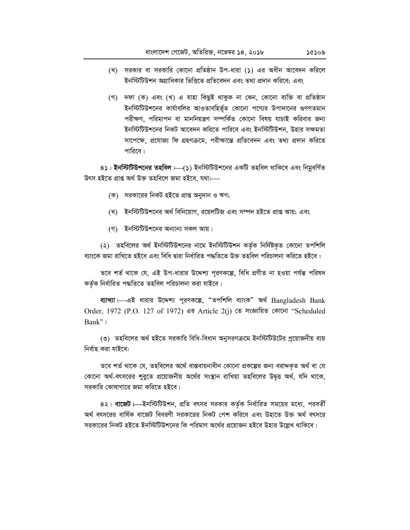- (খ) সরকার বা সরকারি কোনো প্রতিষ্ঠান উপ-ধারা (১) এর অধীন আবেদন করিলে ইনস্টিটিউশন অগ্রাধিকার ভিত্তিতে প্রতিবেদন এবং তথ্য প্রদান করিবে; এবং
- (গ) দফা (ক) এবং (খ) এ যাহা কিছুই থাকুক না কেন, কোনো ব্যক্তি বা প্ৰতিষ্ঠান ইনস্টিটিউশনের কার্যাবলির আওতাবহির্ভূত কোনো পণ্যের উপাদানের গুণগতমান পরীক্ষণ, পরিমাপন বা মাননিয়ন্ত্রণ সম্পর্কিত কোনো বিষয় যাচাই করিবার জন্য ইনস্টিটিউশনের নিকট আবেদন করিতে পারিবে এবং ইনস্টিটিউশন, উহার সক্ষমতা সাপেক্ষে, প্রযোজ্য ফি গ্রহণক্রমে, পরীক্ষান্তে প্রতিবেদন এবং তথ্য প্রদান করিতে পারিবে।

8১। ইনস্টিটিউশনের তহবিল। (১) ইনস্টিটিউশনের একটি তহবিল থাকিবে এবং নিয়বর্ণিত উৎস হইতে প্ৰাপ্ত অৰ্থ উক্ত তহবিলে জমা হইবে. যথা:—–

- (ক) সরকারের নিকট হইতে প্রাপ্ত অনুদান ও ঋণ;
- (খ) ইনস্টিটিউশনের অর্থ বিনিয়োগ, রয়েলটিজ এবং সম্পদ হইতে প্রাপ্ত আয়; এবং
- (গ) ইনস্টিটিউশনের অন্যান্য সকল আয়।

(২) তহবিলের অর্থ ইনস্টিটিউশনের নামে ইনস্টিটিউশন কর্তৃক নির্দিষ্টকৃত কোনো তপশিলি ব্যাংকে জমা রাখিতে হইবে এবং বিধি দ্বারা নির্ধারিত পদ্ধতিতে উক্ত তহবিল পরিচালনা করিতে হইবে :

তবে শর্ত থাকে যে, এই উপ-ধারার উদ্দেশ্য পূরণকল্পে, বিধি প্রণীত না হওয়া পর্যন্ত পরিষদ কৰ্তৃক নিৰ্ধাৱিত পদ্ধতিতে তহবিল পৱিচালনা কৱা যাইবে।

ব্যাখ্যা – এই ধারার উদ্দেশ্য পূরণকল্পে, "তপশিলি ব্যাংক" অর্থ Bangladesh Bank Order, 1972 (P.O. 127 of 1972) এর Article 2(j) তে সংজ্ঞায়িত কোনো "Scheduled  $Bank$ "

(৩) তহবিলের অর্থ হইতে সরকারি বিধি-বিধান অনুসরণক্রমে ইনস্টিটিউটের প্রয়োজনীয় ব্যয় নিৰ্বাহ করা যাইবে:

তবে শর্ত থাকে যে, তহবিলের অর্থে বাস্তবায়নাধীন কোনো প্রকল্পের জন্য বরাদ্দকৃত অর্থ বা যে কোনো অর্থ-বৎসরের শুরুতে প্রয়োজনীয় অর্থের সংস্থান রাখিয়া তহবিলের উদ্বৃত্ত অর্থ, যদি থাকে, সরকারি কোষাগারে জমা করিতে হইবে।

৪২। বাজেট। ইনস্টিটিউশন, প্রতি বৎসর সরকার কর্তৃক নির্ধারিত সময়ের মধ্যে, পরবর্তী অর্থ বৎসরের বার্ষিক বাজেট বিবরণী সরকারের নিকট পেশ করিবে এবং উহাতে উক্ত অর্থ বৎসরে সরকারের নিকট হইতে ইনস্টিটিউশনের কি পরিমাণ অর্থের প্রয়োজন হইবে উহার উল্লেখ থাকিবে।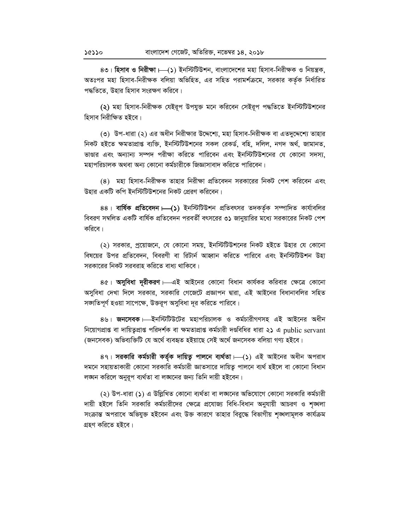৪৩। হিসাব ও নিরীক্ষা ।—(১) ইনস্টিটিউশন, বাংলাদেশের মহা হিসাব-নিরীক্ষক ও নিয়ন্ত্রক, অতঃপর মহা হিসাব-নিরীক্ষক বলিয়া অভিহিত, এর সহিত পরামর্শক্রমে, সরকার কর্তৃক নির্ধারিত পদ্ধতিতে, উহার হিসাব সংরক্ষণ করিবে।

(২) মহা হিসাব-নিরীক্ষক যেইরূপ উপযুক্ত মনে করিবেন সেইরূপ পদ্ধতিতে ইনস্টিটিউশনের হিসাব নিরীক্ষিত হইবে।

(৩) উপ-ধারা (২) এর অধীন নিরীক্ষার উদ্দেশ্যে, মহা হিসাব-নিরীক্ষক বা এতদুদ্দেশ্যে তাহার নিকট হইতে ক্ষমতাপ্রাপ্ত ব্যক্তি, ইনস্টিটিউশনের সকল রেকর্ড, বহি, দলিল, নগদ অর্থ, জামানত, ভাণ্ডার এবং অন্যান্য সম্পদ পরীক্ষা করিতে পারিবেন এবং ইনস্টিটিউশনের যে কোনো সদস্য, মহাপরিচালক অথবা অন্য কোনো কর্মচারীকে জিজ্ঞাসাবাদ করিতে পারিবেন।

(8) মহা হিসাব-নিরীক্ষক তাহার নিরীক্ষা প্রতিবেদন সরকারের নিকট পেশ করিবেন এবং উহার একটি কপি ইনস্টিটিউশনের নিকট প্রেরণ করিবেন।

88। বার্ষিক প্রতিবেদন – (১) ইনস্টিটিউশন প্রতিবৎসর তদকর্তৃক সম্পাদিত কার্যাবলির বিবরণ সম্বলিত একটি বার্ষিক প্রতিবেদন পরবর্তী বৎসরের ৩১ জানুয়ারির মধ্যে সরকারের নিকট পেশ করিবে।

(২) সরকার, প্রয়োজনে, যে কোনো সময়, ইনস্টিটিউশনের নিকট হইতে উহার যে কোনো বিষয়ের উপর প্রতিবেদন, বিবরণী বা রিটার্ন আহ্বান করিতে পারিবে এবং ইনস্টিটিউশন উহা সরকারের নিকট সরবরাহ করিতে বাধ্য থাকিবে।

8৫। অসুবিধা দূরীকরণ – এই আইনের কোনো বিধান কার্যকর করিবার ক্ষেত্রে কোনো অসুবিধা দেখা দিলে সরকার, সরকারি গেজেটে প্রজ্ঞাপন দ্বারা, এই আইনের বিধানাবলির সহিত সজাতিপূর্ণ হওয়া সাপেক্ষে, উক্তরূপ অসুবিধা দূর করিতে পারিবে।

৪৬। **জনসেবক**।—ইনস্টিটিউটের মহাপরিচালক ও কর্মচারীগণসহ এই আইনের অধীন নিয়োগপ্রাপ্ত বা দায়িতুপ্রাপ্ত পরিদর্শক বা ক্ষমতাপ্রাপ্ত কর্মচারী দণ্ডবিধির ধারা ২১ এ public servant (জনসেবক) অভিব্যক্তিটি যে অৰ্থে ব্যবহৃত হইয়াছে সেই অৰ্থে জনসেবক বলিয়া গণ্য হইবে।

8৭। সরকারি কর্মচারী কর্তৃক দায়িত্ব পালনে ব্যর্থতা।—(১) এই আইনের অধীন অপরাধ দমনে সহায়তাকারী কোনো সরকারি কর্মচারী জ্ঞাতসারে দায়িত্ব পালনে ব্যর্থ হইলে বা কোনো বিধান লঙ্ঘন করিলে অনুরূপ ব্যর্থতা বা লঙ্ঘনের জন্য তিনি দায়ী হইবেন।

(২) উপ-ধারা (১) এ উল্লিখিত কোনো ব্যর্থতা বা লঙ্ঘনের অভিযোগে কোনো সরকারি কর্মচারী দায়ী হইলে তিনি সরকারি কর্মচারীদের ক্ষেত্রে প্রযোজ্য বিধি-বিধান অনুযায়ী আচরণ ও শৃঙ্খলা সংক্রান্ত অপরাধে অভিযুক্ত হইবেন এবং উক্ত কারণে তাহার বিরুদ্ধে বিভাগীয় শঙ্খলামূলক কার্যক্রম গ্ৰহণ করিতে হইবে।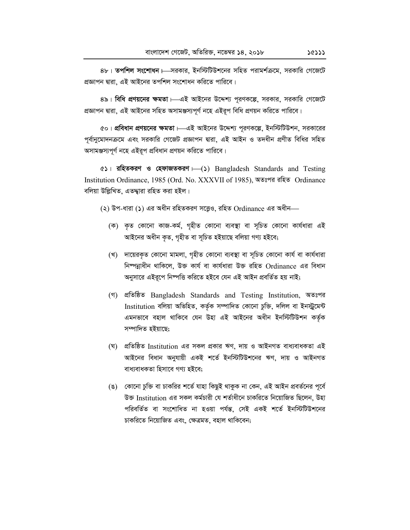$8\mathsf{b}$ । **তপশিল সংশোধন**  $\operatorname{\mathsf{L}}$ সরকার, ইনস্টিটিউশনের সহিত পরামর্শক্রমে, সরকারি গেজেটে প্রজ্ঞাপন দ্বারা, এই আইনের তপশিল সংশোধন করিতে পারিবে।

8৯। **বিধি প্রণয়নের ক্ষমতা**। এই আইনের উদ্দেশ্য পূরণকল্পে, সরকার, সরকারি গেজেটে প্ৰজ্ঞাপন দ্বারা, এই আইনের সহিত অসামঞ্জস্যপূর্ণ নহে এইরূপ বিধি প্রণয়ন করিতে পারিবে।

&০। **প্রবিধান প্রণয়নের ক্ষমতা**।—এই আইনের উদ্দেশ্য পূরণকল্পে, ইনস্টিটিউশন, সরকারের পূর্বানুমোদনক্রমে এবং সরকারি গেজেট প্রজ্ঞাপন দ্বারা, এই আইন ও তদধীন প্রণীত বিধির সহিত অসামঞ্জস্যপূৰ্ণ নহে এইরূপ প্রবিধান প্রণয়ন করিতে পারিবে।

 $63$ । **রহিতকরণ ও হেফাজতকরণ** – () Bangladesh Standards and Testing Institution Ordinance, 1985 (Ord. No. XXXVII of 1985), অতঃপর রহিত Ordinance বলিয়া উল্লিখিত, এতদ্দারা রহিত করা হইল।

(২) উপ-ধারা (১) এর অধীন রহিতকরণ সত্ত্বেও, রহিত Ordinance এর অধীন-

- (ক) কৃত কোনো কাজ-কৰ্ম, গৃহীত কোনো ব্যবস্থা বা সূচিত কোনো কাৰ্যধারা এই আইনের অধীন কৃত, গৃহীত বা সূচিত হইয়াছে বলিয়া গণ্য হইবে;
- (খ) দায়েরকৃত কোনো মামলা, গৃহীত কোনো ব্যবস্থা বা সচিত কোনো কার্য বা কার্যধারা নিম্পন্নাধীন থাকিলে, উক্ত কাৰ্য বা কাৰ্যধারা উক্ত রহিত Ordinance এর বিধান অনুসারে এইরূপে নিম্পত্তি করিতে হইবে যেন এই আইন প্রবর্তিত হয় নাই;
- (গ) প্ৰতিষ্ঠিত Bangladesh Standards and Testing Institution, অতঃপর Institution বলিয়া অভিহিত, কৰ্তৃক সম্পাদিত কোনো চুক্তি, দলিল বা ইনস্ট্ৰমেন্ট এমনভাবে বহাল থাকিবে যেন উহা এই আইনের অধীন ইনস্টিটিশন কর্তক সম্পাদিত হইয়াছে:
- (ঘ) প্ৰতিষ্ঠিত Institution এর সকল প্ৰকার ঋণ, দায় ও আইনগত বাধ্যবাধকতা এই আইনের বিধান অনুযায়ী একই শৰ্তে ইনস্টিটিউশনের ঋণ, দায় ও আইনগত বাধ্যবাধকতা হিসাবে গণ্য হইবে:
- (ঙ) কোনো চুক্তি বা চাকরির শর্তে যাহা কিছুই থাকুক না কেন, এই আইন প্রবর্তনের পূর্বে উক্ত Institution এর সকল কর্মচারী যে শর্তাধীনে চাকরিতে নিয়োজিত ছিলেন, উহা পরিবর্তিত বা সংশোধিত না হওয়া পর্যন্ত, সেই একই শর্তে ইনস্টিটিউশনের চাকরিতে নিয়োজিত এবং, ক্ষেত্রমত, বহাল থাকিবেন;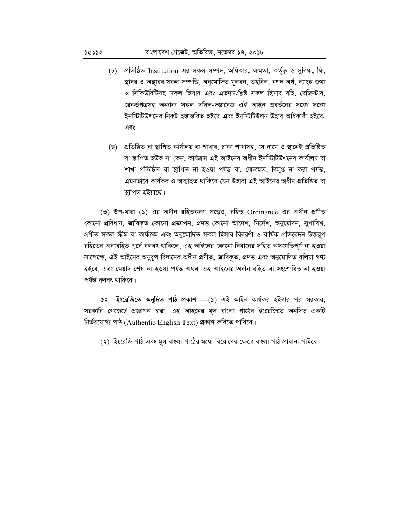- (চ) প্রতিষ্ঠিত Institution এর সকল সম্পদ, অধিকার, ক্ষমতা, কর্তৃত ও সুবিধা, ফি, স্থাবর ও অস্থাবর সকল সম্পত্তি, অনুমোদিত মূলধন, তহবিল, নগদ অর্থ, ব্যাংক জমা ও সিকিউরিটিসহ সকল হিসাব এবং এতদসংশ্লিষ্ট সকল হিসাব বহি. রেজিস্টার. রেকর্ডপত্রসহ অন্যান্য সকল দলিল-দস্তাবেজ এই আইন প্রবর্তনের সজো সজো ইনস্টিটিউশনের নিকট হস্তান্তরিত হইবে এবং ইনস্টিটিউশন উহার অধিকারী হইবে; এবং
- (ছ) প্রতিষ্ঠিত বা স্থাপিত কার্যালয় বা শাখার, ঢাকা শাখাসহ, যে নামে ও স্থানেই প্রতিষ্ঠিত বা স্থাপিত হউক না কেন, কাৰ্যক্ৰম এই আইনের অধীন ইনস্টিটিউশনের কাৰ্যালয় বা শাখা প্ৰতিষ্ঠিত বা স্থাপিত না হওয়া পৰ্যন্ত বা, ক্ষেত্ৰমত, বিলুপ্ত না করা পৰ্যন্ত, এমনভাবে কাৰ্যকর ও অব্যাহত থাকিবে যেন উহারা এই আইনের অধীন প্রতিষ্ঠিত বা স্থাপিত হইয়াছে।

(৩) উপ-ধারা (১) এর অধীন রহিতকরণ সত্ত্বেও, রহিত Ordinance এর অধীন প্রণীত কোনো প্রবিধান, জারিকৃত কোনো প্রজ্ঞাপন, প্রদত্ত কোনো আদেশ, নির্দেশ, অনুমোদন, সুপারিশ, প্ৰণীত সকল স্কীম বা কাৰ্যক্ৰম এবং অনুমোদিত সকল হিসাব বিবরণী ও বাৰ্ষিক প্ৰতিবেদন উক্তরূপ রহিতের অব্যবহিত পূর্বে বলবৎ থাকিলে, এই আইনের কোনো বিধানের সহিত অসজাতিপূর্ণ না হওয়া সাপেক্ষে, এই আইনের অনুরূপ বিধানের অধীন প্রণীত, জারিকৃত, প্রদত্ত এবং অনুমোদিত বলিয়া গণ্য হইবে, এবং মেয়াদ শেষ না হওয়া পৰ্যন্ত অথবা এই আইনের অধীন রহিত বা সংশোধিত না হওয়া পৰ্যন্ত বলবৎ থাকিবে।

c২। ইংরেজিতে অনূদিত পাঠ প্রকাশ।—(১) এই আইন কার্যকর হইবার পর সরকার, সরকারি গেজেটে প্রজ্ঞাপন দ্বারা, এই আইনের মূল বাংলা পাঠের ইংরেজিতে অনূদিত একটি নির্ভরযোগ্য পাঠ (Authentic English Text) প্রকাশ করিতে পারিবে।

(২) ইংরেজি পাঠ এবং মূল বাংলা পাঠের মধ্যে বিরোধের ক্ষেত্রে বাংলা পাঠ প্রাধান্য পাইবে।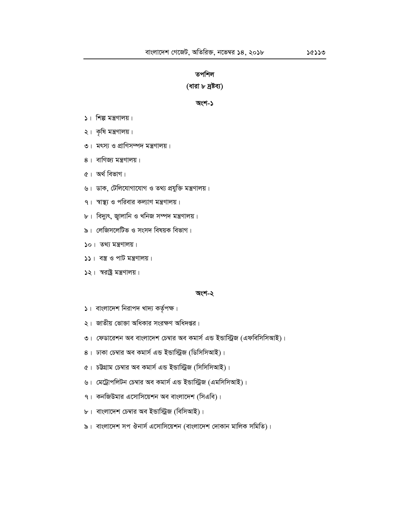## তপশিল

#### **(ধারা ৮ দ্রষ্টব্য)**

#### **অংশ-১**

- $|$   $|$   $|$   $\sim$   $|$   $\sim$   $\sqrt{3}$   $\sqrt{3}$   $\sqrt{3}$   $\sqrt{3}$
- $2$ । কৃষি মন্ত্রণালয়।
- **৩। মৎস্য ও প্রাণিসম্পদ মন্ত্রণালয়।**
- $8$ । বাণিজ্য মন্ত্রণালয়।
- ৫। অৰ্থ বিভাগ।
- ঙ। ডাক, টেলিযোগাযোগ ও তথ্য প্রযুক্তি মন্ত্রণালয়।
- ৭। স্বাস্থ্য ও পরিবার কল্যাণ মন্ত্রণালয়।
- ৮। বিদ্যুৎ, জ্বালানি ও খনিজ সম্পদ মন্ত্ৰণালয়।<br>'
- $\mathbf{b}$ । লেজিসলেটিভ ও সংসদ বিষয়ক বিভাগ।
- $20$   $|$  তথ্য মন্ত্ৰণালয়  $|$
- $55 + 73$  ও পাট মন্ত্রণালয়।
- $52$ । স্বরাষ্ট্র মন্ত্রণালয়।

#### **Ask-2**

- ১। বাংলাদেশ নিরাপদ খাদ্য কর্তৃপক্ষ।
- ২। জাতীয় ভোক্তা অধিকার সংরক্ষণ অধিদপ্তর।
- ৩। ফেডারেশন অব বাংলাদেশ চেম্বার অব কমার্স এন্ড ইন্ডাস্ট্রিজ (এফবিসিসিআই)।
- 8। ঢাকা চেম্বার অব কমার্স এন্ড ইন্ডাস্ট্রিজ (ডিসিসিআই)।
- $6$ । চট্টগ্রাম চেম্বার অব কমার্স এন্ড ইন্ডাস্ট্রিজ (সিসিসিআই)।
- ঙ। মেট্রোপলিটন চেম্বার অব কমার্স এন্ড ইন্ডাস্ট্রিজ (এমসিসিআই)।
- $9$ । কনজিউমার এসোসিয়েশন অব বাংলাদেশ (সিএবি)।
- $b$ । বাংলাদেশ চেম্বার অব ইন্ডাস্ট্রিজ (বিসিআই)।
- $\mathbf{b}$ । বাংলাদেশ সপ ঔনার্স এসোসিয়েশন (বাংলাদেশ দোকান মালিক সমিতি)।